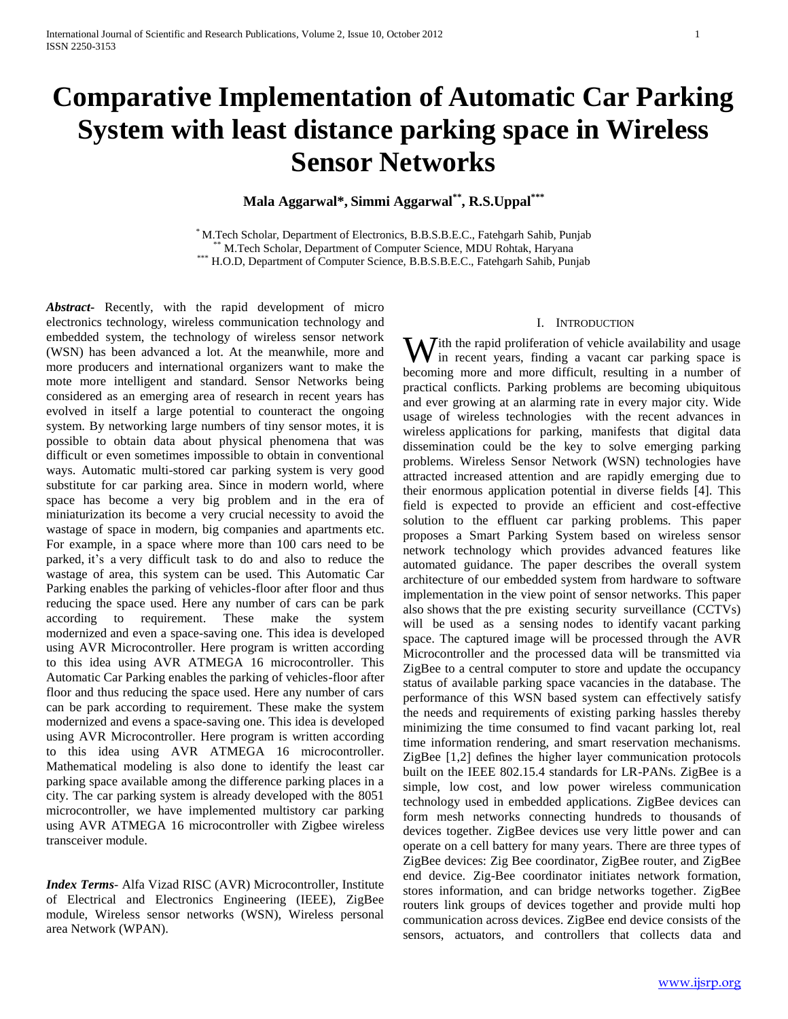# **Comparative Implementation of Automatic Car Parking System with least distance parking space in Wireless Sensor Networks**

**Mala Aggarwal\*, Simmi Aggarwal\*\* , R.S.Uppal\*\*\***

\* M.Tech Scholar, Department of Electronics, B.B.S.B.E.C., Fatehgarh Sahib, Punjab \*\* M.Tech Scholar, Department of Computer Science, MDU Rohtak, Haryana \*\*\* H.O.D, Department of Computer Science, B.B.S.B.E.C., Fatehgarh Sahib, Punjab

*Abstract***-** Recently, with the rapid development of micro electronics technology, wireless communication technology and embedded system, the technology of wireless sensor network (WSN) has been advanced a lot. At the meanwhile, more and more producers and international organizers want to make the mote more intelligent and standard. Sensor Networks being considered as an emerging area of research in recent years has evolved in itself a large potential to counteract the ongoing system. By networking large numbers of tiny sensor motes, it is possible to obtain data about physical phenomena that was difficult or even sometimes impossible to obtain in conventional ways. Automatic multi-stored car parking system is very good substitute for car parking area. Since in modern world, where space has become a very big problem and in the era of miniaturization its become a very crucial necessity to avoid the wastage of space in modern, big companies and apartments etc. For example, in a space where more than 100 cars need to be parked, it's a very difficult task to do and also to reduce the wastage of area, this system can be used. This Automatic Car Parking enables the parking of vehicles-floor after floor and thus reducing the space used. Here any number of cars can be park according to requirement. These make the system modernized and even a space-saving one. This idea is developed using AVR Microcontroller. Here program is written according to this idea using AVR ATMEGA 16 microcontroller. This Automatic Car Parking enables the parking of vehicles-floor after floor and thus reducing the space used. Here any number of cars can be park according to requirement. These make the system modernized and evens a space-saving one. This idea is developed using AVR Microcontroller. Here program is written according to this idea using AVR ATMEGA 16 microcontroller. Mathematical modeling is also done to identify the least car parking space available among the difference parking places in a city. The car parking system is already developed with the 8051 microcontroller, we have implemented multistory car parking using AVR ATMEGA 16 microcontroller with Zigbee wireless transceiver module.

*Index Terms*- Alfa Vizad RISC (AVR) Microcontroller, Institute of Electrical and Electronics Engineering (IEEE), ZigBee module, Wireless sensor networks (WSN), Wireless personal area Network (WPAN).

#### I. INTRODUCTION

ith the rapid proliferation of vehicle availability and usage With the rapid proliferation of vehicle availability and usage<br>in recent years, finding a vacant car parking space is becoming more and more difficult, resulting in a number of practical conflicts. Parking problems are becoming ubiquitous and ever growing at an alarming rate in every major city. Wide usage of wireless technologies with the recent advances in wireless applications for parking, manifests that digital data dissemination could be the key to solve emerging parking problems. Wireless Sensor Network (WSN) technologies have attracted increased attention and are rapidly emerging due to their enormous application potential in diverse fields [4]. This field is expected to provide an efficient and cost-effective solution to the effluent car parking problems. This paper proposes a Smart Parking System based on wireless sensor network technology which provides advanced features like automated guidance. The paper describes the overall system architecture of our embedded system from hardware to software implementation in the view point of sensor networks. This paper also shows that the pre existing security surveillance (CCTVs) will be used as a sensing nodes to identify vacant parking space. The captured image will be processed through the AVR Microcontroller and the processed data will be transmitted via ZigBee to a central computer to store and update the occupancy status of available parking space vacancies in the database. The performance of this WSN based system can effectively satisfy the needs and requirements of existing parking hassles thereby minimizing the time consumed to find vacant parking lot, real time information rendering, and smart reservation mechanisms. ZigBee [1,2] defines the higher layer communication protocols built on the IEEE 802.15.4 standards for LR-PANs. ZigBee is a simple, low cost, and low power wireless communication technology used in embedded applications. ZigBee devices can form mesh networks connecting hundreds to thousands of devices together. ZigBee devices use very little power and can operate on a cell battery for many years. There are three types of ZigBee devices: Zig Bee coordinator, ZigBee router, and ZigBee end device. Zig-Bee coordinator initiates network formation, stores information, and can bridge networks together. ZigBee routers link groups of devices together and provide multi hop communication across devices. ZigBee end device consists of the sensors, actuators, and controllers that collects data and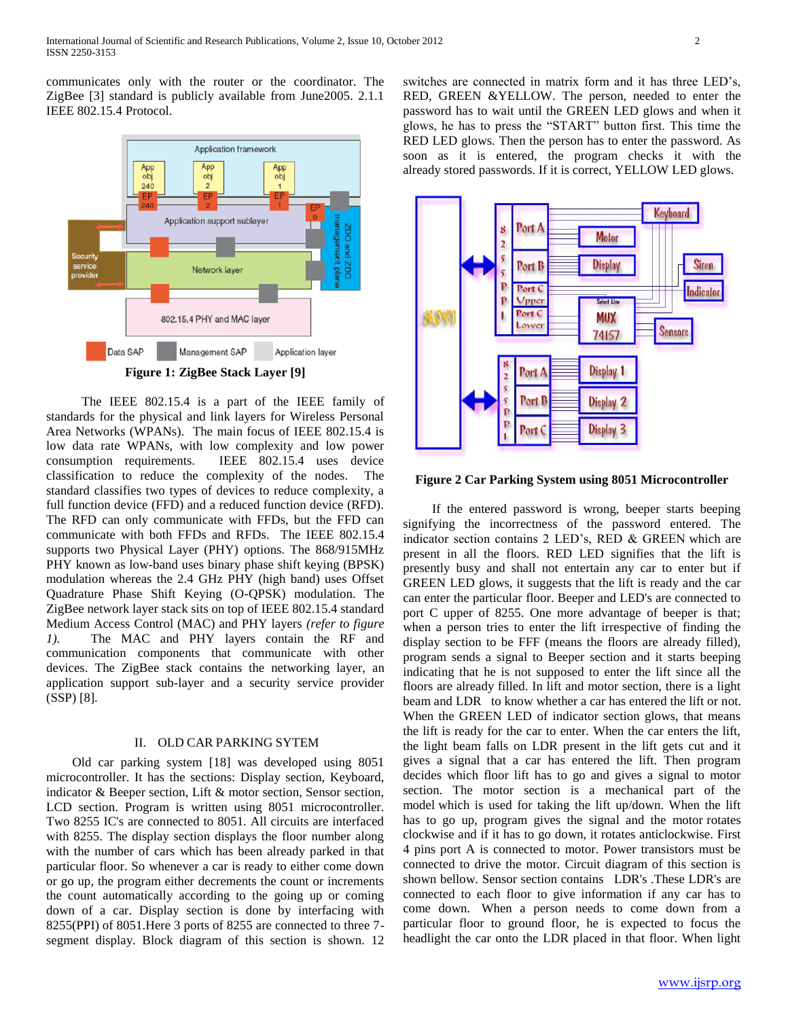communicates only with the router or the coordinator. The ZigBee [3] standard is publicly available from June2005. 2.1.1 IEEE 802.15.4 Protocol.



 The IEEE 802.15.4 is a part of the IEEE family of standards for the physical and link layers for Wireless Personal Area Networks (WPANs). The main focus of IEEE 802.15.4 is low data rate WPANs, with low complexity and low power consumption requirements. IEEE 802.15.4 uses device classification to reduce the complexity of the nodes. The standard classifies two types of devices to reduce complexity, a full function device (FFD) and a reduced function device (RFD). The RFD can only communicate with FFDs, but the FFD can communicate with both FFDs and RFDs. The IEEE 802.15.4 supports two Physical Layer (PHY) options. The 868/915MHz PHY known as low-band uses binary phase shift keying (BPSK) modulation whereas the 2.4 GHz PHY (high band) uses Offset Quadrature Phase Shift Keying (O-QPSK) modulation. The ZigBee network layer stack sits on top of IEEE 802.15.4 standard Medium Access Control (MAC) and PHY layers *(refer to figure 1).* The MAC and PHY layers contain the RF and communication components that communicate with other devices. The ZigBee stack contains the networking layer, an application support sub-layer and a security service provider (SSP) [8].

#### II. OLD CAR PARKING SYTEM

 Old car parking system [18] was developed using 8051 microcontroller. It has the sections: Display section, Keyboard, indicator & Beeper section, Lift & motor section, Sensor section, LCD section. Program is written using 8051 microcontroller. Two 8255 IC's are connected to 8051. All circuits are interfaced with 8255. The display section displays the floor number along with the number of cars which has been already parked in that particular floor. So whenever a car is ready to either come down or go up, the program either decrements the count or increments the count automatically according to the going up or coming down of a car. Display section is done by interfacing with 8255(PPI) of 8051.Here 3 ports of 8255 are connected to three 7 segment display. Block diagram of this section is shown. 12

switches are connected in matrix form and it has three LED's, RED, GREEN &YELLOW. The person, needed to enter the password has to wait until the GREEN LED glows and when it glows, he has to press the "START" button first. This time the RED LED glows. Then the person has to enter the password. As soon as it is entered, the program checks it with the already stored passwords. If it is correct, YELLOW LED glows.



**Figure 2 Car Parking System using 8051 Microcontroller**

 If the entered password is wrong, beeper starts beeping signifying the incorrectness of the password entered. The indicator section contains 2 LED's, RED & GREEN which are present in all the floors. RED LED signifies that the lift is presently busy and shall not entertain any car to enter but if GREEN LED glows, it suggests that the lift is ready and the car can enter the particular floor. Beeper and LED's are connected to port C upper of 8255. One more advantage of beeper is that; when a person tries to enter the lift irrespective of finding the display section to be FFF (means the floors are already filled), program sends a signal to Beeper section and it starts beeping indicating that he is not supposed to enter the lift since all the floors are already filled. In lift and motor section, there is a light beam and LDR to know whether a car has entered the lift or not. When the GREEN LED of indicator section glows, that means the lift is ready for the car to enter. When the car enters the lift, the light beam falls on LDR present in the lift gets cut and it gives a signal that a car has entered the lift. Then program decides which floor lift has to go and gives a signal to motor section. The motor section is a mechanical part of the model which is used for taking the lift up/down. When the lift has to go up, program gives the signal and the motor rotates clockwise and if it has to go down, it rotates anticlockwise. First 4 pins port A is connected to motor. Power transistors must be connected to drive the motor. Circuit diagram of this section is shown bellow. Sensor section contains LDR's .These LDR's are connected to each floor to give information if any car has to come down. When a person needs to come down from a particular floor to ground floor, he is expected to focus the headlight the car onto the LDR placed in that floor. When light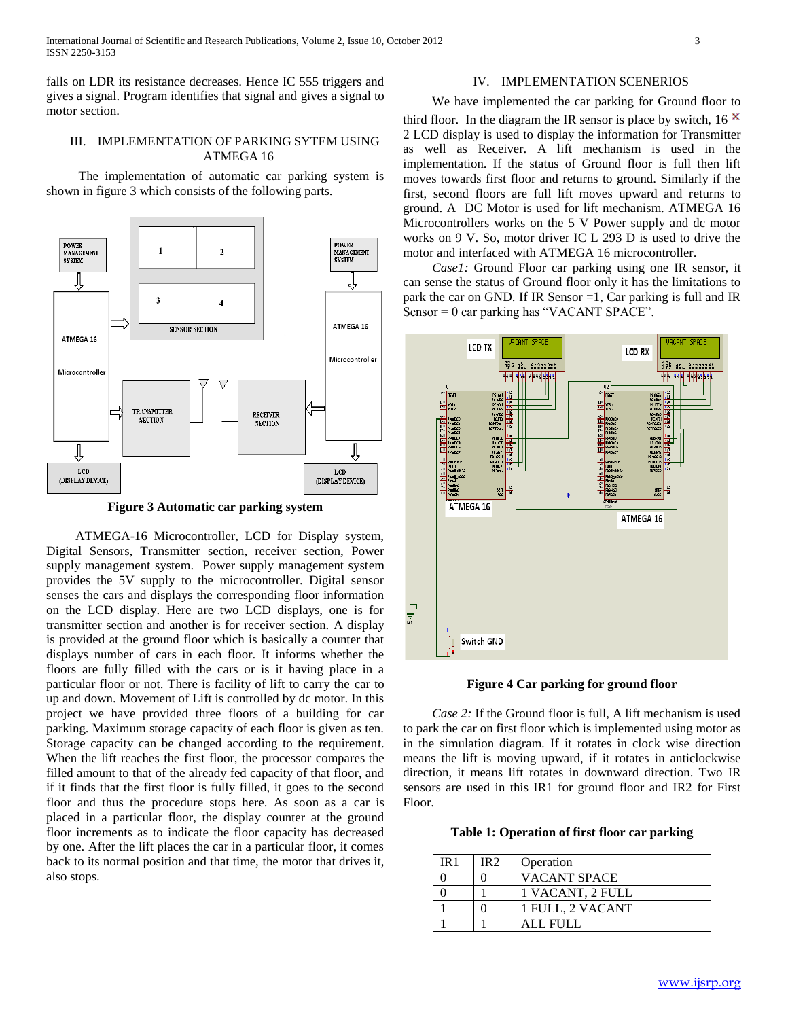falls on LDR its resistance decreases. Hence IC 555 triggers and gives a signal. Program identifies that signal and gives a signal to motor section.

## III. IMPLEMENTATION OF PARKING SYTEM USING ATMEGA 16

 The implementation of automatic car parking system is shown in figure 3 which consists of the following parts.



**Figure 3 Automatic car parking system**

 ATMEGA-16 Microcontroller, LCD for Display system, Digital Sensors, Transmitter section, receiver section, Power supply management system. Power supply management system provides the 5V supply to the microcontroller. Digital sensor senses the cars and displays the corresponding floor information on the LCD display. Here are two LCD displays, one is for transmitter section and another is for receiver section. A display is provided at the ground floor which is basically a counter that displays number of cars in each floor. It informs whether the floors are fully filled with the cars or is it having place in a particular floor or not. There is facility of lift to carry the car to up and down. Movement of Lift is controlled by dc motor. In this project we have provided three floors of a building for car parking. Maximum storage capacity of each floor is given as ten. Storage capacity can be changed according to the requirement. When the lift reaches the first floor, the processor compares the filled amount to that of the already fed capacity of that floor, and if it finds that the first floor is fully filled, it goes to the second floor and thus the procedure stops here. As soon as a car is placed in a particular floor, the display counter at the ground floor increments as to indicate the floor capacity has decreased by one. After the lift places the car in a particular floor, it comes back to its normal position and that time, the motor that drives it, also stops.

#### IV. IMPLEMENTATION SCENERIOS

#### We have implemented the car parking for Ground floor to

third floor. In the diagram the IR sensor is place by switch, 16  $\times$ 2 LCD display is used to display the information for Transmitter as well as Receiver. A lift mechanism is used in the implementation. If the status of Ground floor is full then lift moves towards first floor and returns to ground. Similarly if the first, second floors are full lift moves upward and returns to ground. A DC Motor is used for lift mechanism. ATMEGA 16 Microcontrollers works on the 5 V Power supply and dc motor works on 9 V. So, motor driver IC L 293 D is used to drive the motor and interfaced with ATMEGA 16 microcontroller.

 *Case1:* Ground Floor car parking using one IR sensor, it can sense the status of Ground floor only it has the limitations to park the car on GND. If IR Sensor =1, Car parking is full and IR Sensor = 0 car parking has "VACANT SPACE".



**Figure 4 Car parking for ground floor**

 *Case 2:* If the Ground floor is full, A lift mechanism is used to park the car on first floor which is implemented using motor as in the simulation diagram. If it rotates in clock wise direction means the lift is moving upward, if it rotates in anticlockwise direction, it means lift rotates in downward direction. Two IR sensors are used in this IR1 for ground floor and IR2 for First Floor.

**Table 1: Operation of first floor car parking**

| IR 1 | IR 2 | Operation           |
|------|------|---------------------|
|      |      | <b>VACANT SPACE</b> |
|      |      | 1 VACANT, 2 FULL    |
|      |      | 1 FULL, 2 VACANT    |
|      |      | ALL FULL            |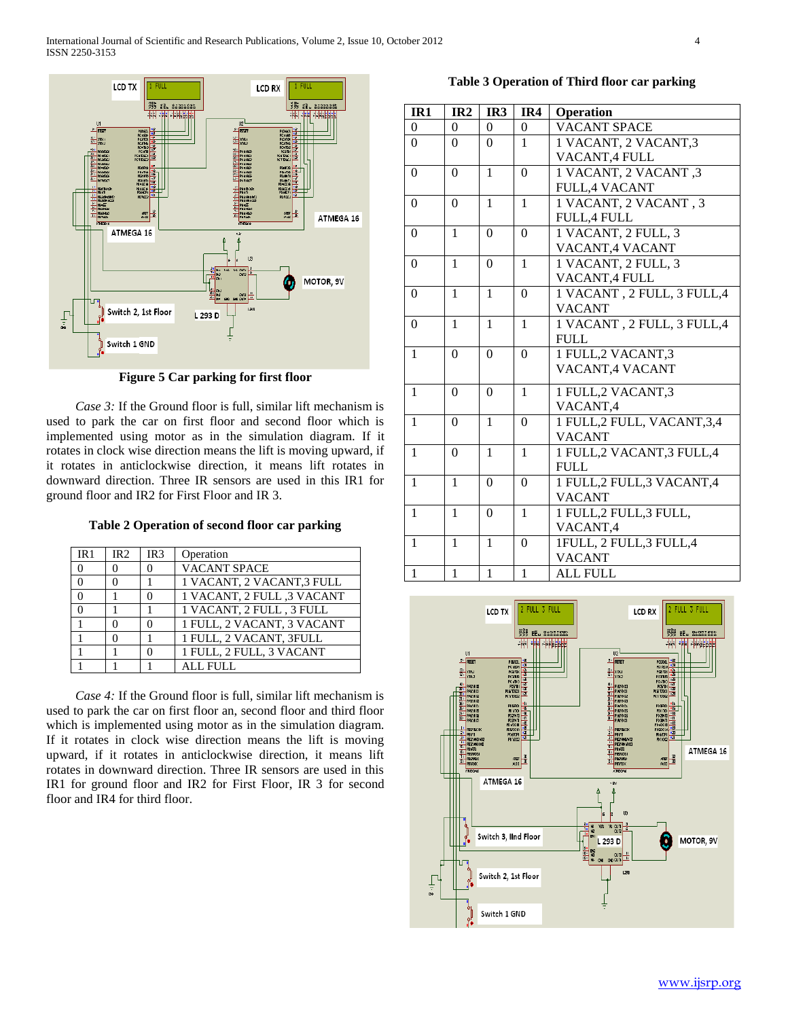

**Figure 5 Car parking for first floor**

*Case 3:* If the Ground floor is full, similar lift mechanism is used to park the car on first floor and second floor which is implemented using motor as in the simulation diagram. If it rotates in clock wise direction means the lift is moving upward, if it rotates in anticlockwise direction, it means lift rotates in downward direction. Three IR sensors are used in this IR1 for ground floor and IR2 for First Floor and IR 3.

**Table 2 Operation of second floor car parking**

| IR <sub>1</sub> | IR <sub>2</sub> | IR <sub>3</sub> | Operation                  |
|-----------------|-----------------|-----------------|----------------------------|
| $\Omega$        |                 |                 | <b>VACANT SPACE</b>        |
|                 |                 |                 | 1 VACANT, 2 VACANT, 3 FULL |
|                 |                 |                 | 1 VACANT, 2 FULL ,3 VACANT |
|                 |                 |                 | 1 VACANT, 2 FULL, 3 FULL   |
|                 |                 |                 | 1 FULL, 2 VACANT, 3 VACANT |
|                 |                 |                 | 1 FULL, 2 VACANT, 3FULL    |
|                 |                 |                 | 1 FULL, 2 FULL, 3 VACANT   |
|                 |                 |                 | ALL FULL                   |

 *Case 4:* If the Ground floor is full, similar lift mechanism is used to park the car on first floor an, second floor and third floor which is implemented using motor as in the simulation diagram. If it rotates in clock wise direction means the lift is moving upward, if it rotates in anticlockwise direction, it means lift rotates in downward direction. Three IR sensors are used in this IR1 for ground floor and IR2 for First Floor, IR 3 for second floor and IR4 for third floor.

**Table 3 Operation of Third floor car parking**

| IR1              | IR <sub>2</sub> | IR3              | IR4              | Operation                    |  |
|------------------|-----------------|------------------|------------------|------------------------------|--|
| $\boldsymbol{0}$ | $\overline{0}$  | $\theta$         | $\overline{0}$   | <b>VACANT SPACE</b>          |  |
| $\Omega$         | $\theta$        | $\Omega$         | $\mathbf{1}$     | 1 VACANT, 2 VACANT, 3        |  |
|                  |                 |                  |                  | VACANT,4 FULL                |  |
| $\overline{0}$   | $\overline{0}$  | $\mathbf{1}$     | $\boldsymbol{0}$ | 1 VACANT, 2 VACANT, 3        |  |
|                  |                 |                  |                  | <b>FULL,4 VACANT</b>         |  |
| $\Omega$         | $\theta$        | $\mathbf{1}$     | $\mathbf{1}$     | 1 VACANT, 2 VACANT, 3        |  |
|                  |                 |                  |                  | <b>FULL,4 FULL</b>           |  |
| $\boldsymbol{0}$ | $\mathbf{1}$    | $\overline{0}$   | $\Omega$         | 1 VACANT, 2 FULL, 3          |  |
|                  |                 |                  |                  | VACANT, 4 VACANT             |  |
| $\theta$         | $\mathbf{1}$    | $\Omega$         | $\mathbf{1}$     | 1 VACANT, 2 FULL, 3          |  |
|                  |                 |                  |                  | VACANT,4 FULL                |  |
| $\theta$         | $\mathbf{1}$    | $\mathbf{1}$     | $\theta$         | 1 VACANT, 2 FULL, 3 FULL, 4  |  |
|                  |                 |                  |                  | <b>VACANT</b>                |  |
| $\theta$         | $\overline{1}$  | $\mathbf{1}$     | $\mathbf{1}$     | 1 VACANT, 2 FULL, 3 FULL, 4  |  |
|                  |                 |                  |                  | <b>FULL</b>                  |  |
| $\mathbf{1}$     | $\theta$        | $\Omega$         | $\overline{0}$   | 1 FULL, 2 VACANT, 3          |  |
|                  |                 |                  |                  | VACANT, 4 VACANT             |  |
| $\mathbf{1}$     | $\Omega$        | $\Omega$         | $\mathbf{1}$     | 1 FULL, 2 VACANT, 3          |  |
|                  |                 |                  |                  | VACANT,4                     |  |
| $\mathbf{1}$     | $\Omega$        | $\mathbf{1}$     | $\theta$         | 1 FULL, 2 FULL, VACANT, 3, 4 |  |
|                  |                 |                  |                  | <b>VACANT</b>                |  |
| $\mathbf{1}$     | $\Omega$        | 1                | 1                | 1 FULL, 2 VACANT, 3 FULL, 4  |  |
|                  |                 |                  |                  | <b>FULL</b>                  |  |
| $\mathbf{1}$     | $\mathbf{1}$    | $\Omega$         | $\Omega$         | 1 FULL,2 FULL,3 VACANT,4     |  |
|                  |                 |                  |                  | <b>VACANT</b>                |  |
| $\mathbf{1}$     | 1               | $\boldsymbol{0}$ | $\mathbf{1}$     | 1 FULL, 2 FULL, 3 FULL,      |  |
|                  |                 |                  |                  | VACANT,4                     |  |
| $\mathbf{1}$     | $\mathbf{1}$    | $\mathbf{1}$     | $\overline{0}$   | 1FULL, 2 FULL, 3 FULL, 4     |  |
|                  |                 |                  |                  | <b>VACANT</b>                |  |
| $\mathbf{1}$     | $\mathbf{1}$    | $\mathbf{1}$     | $\mathbf{1}$     | <b>ALL FULL</b>              |  |

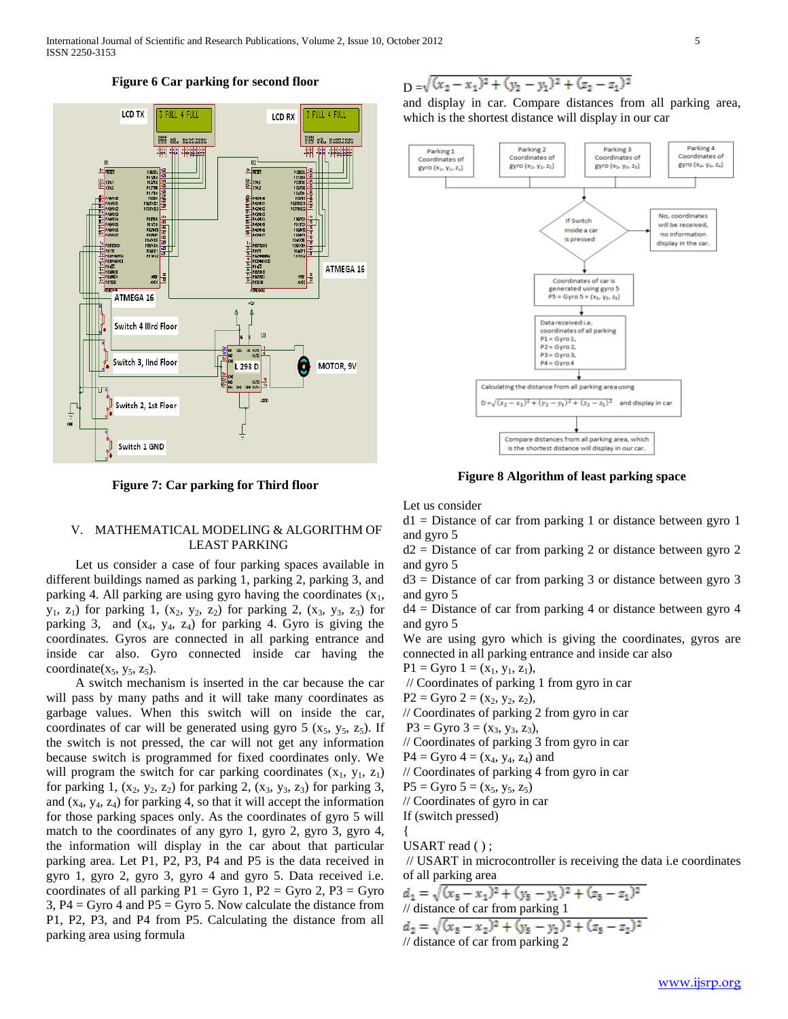

## **Figure 6 Car parking for second floor**

**Figure 7: Car parking for Third floor**

# V. MATHEMATICAL MODELING & ALGORITHM OF LEAST PARKING

 Let us consider a case of four parking spaces available in different buildings named as parking 1, parking 2, parking 3, and parking 4. All parking are using gyro having the coordinates  $(x_1,$  $y_1, z_1$ ) for parking 1,  $(x_2, y_2, z_2)$  for parking 2,  $(x_3, y_3, z_3)$  for parking 3, and  $(x_4, y_4, z_4)$  for parking 4. Gyro is giving the coordinates. Gyros are connected in all parking entrance and inside car also. Gyro connected inside car having the coordinate( $x_5$ ,  $y_5$ ,  $z_5$ ).

 A switch mechanism is inserted in the car because the car will pass by many paths and it will take many coordinates as garbage values. When this switch will on inside the car, coordinates of car will be generated using gyro  $5$  ( $x_5$ ,  $y_5$ ,  $z_5$ ). If the switch is not pressed, the car will not get any information because switch is programmed for fixed coordinates only. We will program the switch for car parking coordinates  $(x_1, y_1, z_1)$ for parking 1,  $(x_2, y_2, z_2)$  for parking 2,  $(x_3, y_3, z_3)$  for parking 3, and  $(x_4, y_4, z_4)$  for parking 4, so that it will accept the information for those parking spaces only. As the coordinates of gyro 5 will match to the coordinates of any gyro 1, gyro 2, gyro 3, gyro 4, the information will display in the car about that particular parking area. Let P1, P2, P3, P4 and P5 is the data received in gyro 1, gyro 2, gyro 3, gyro 4 and gyro 5. Data received i.e. coordinates of all parking  $P1 = Gyro 1$ ,  $P2 = Gyro 2$ ,  $P3 = Gyro$ 3,  $P4 = G$ yro 4 and  $P5 = G$ yro 5. Now calculate the distance from P1, P2, P3, and P4 from P5. Calculating the distance from all parking area using formula

 $D = \sqrt{(x_2 - x_1)^2 + (y_2 - y_1)^2 + (z_2 - z_1)^2}$ 

and display in car. Compare distances from all parking area, which is the shortest distance will display in our car



**Figure 8 Algorithm of least parking space**

Let us consider

 $d1 = Distance$  of car from parking 1 or distance between gyro 1 and gyro 5

 $d2$  = Distance of car from parking 2 or distance between gyro 2 and gyro 5

 $d3$  = Distance of car from parking 3 or distance between gyro 3 and gyro 5

 $d4 =$  Distance of car from parking 4 or distance between gyro 4 and gyro 5

We are using gyro which is giving the coordinates, gyros are connected in all parking entrance and inside car also

 $P1 = Gyro 1 = (x_1, y_1, z_1),$ 

// Coordinates of parking 1 from gyro in car

 $P2 = Gyro 2 = (x<sub>2</sub>, y<sub>2</sub>, z<sub>2</sub>),$ 

// Coordinates of parking 2 from gyro in car

$$
P3 = Gyro 3 = (x3, y3, z3),
$$

// Coordinates of parking 3 from gyro in car

 $P4 = Gyro 4 = (x_4, y_4, z_4)$  and

// Coordinates of parking 4 from gyro in car

 $P5 = Gyro 5 = (x_5, y_5, z_5)$ 

// Coordinates of gyro in car

If (switch pressed)

USART read ( ) ;

{

// USART in microcontroller is receiving the data i.e coordinates of all parking area

$$
d_1 = \sqrt{(x_5 - x_1)^2 + (y_5 - y_1)^2 + (z_5 - z_1)^2}
$$
  
// distance of car from parking 1  

$$
d_2 = \sqrt{(x_5 - x_2)^2 + (y_5 - y_2)^2 + (z_5 - z_2)^2}
$$
  
// distance of car from parking 2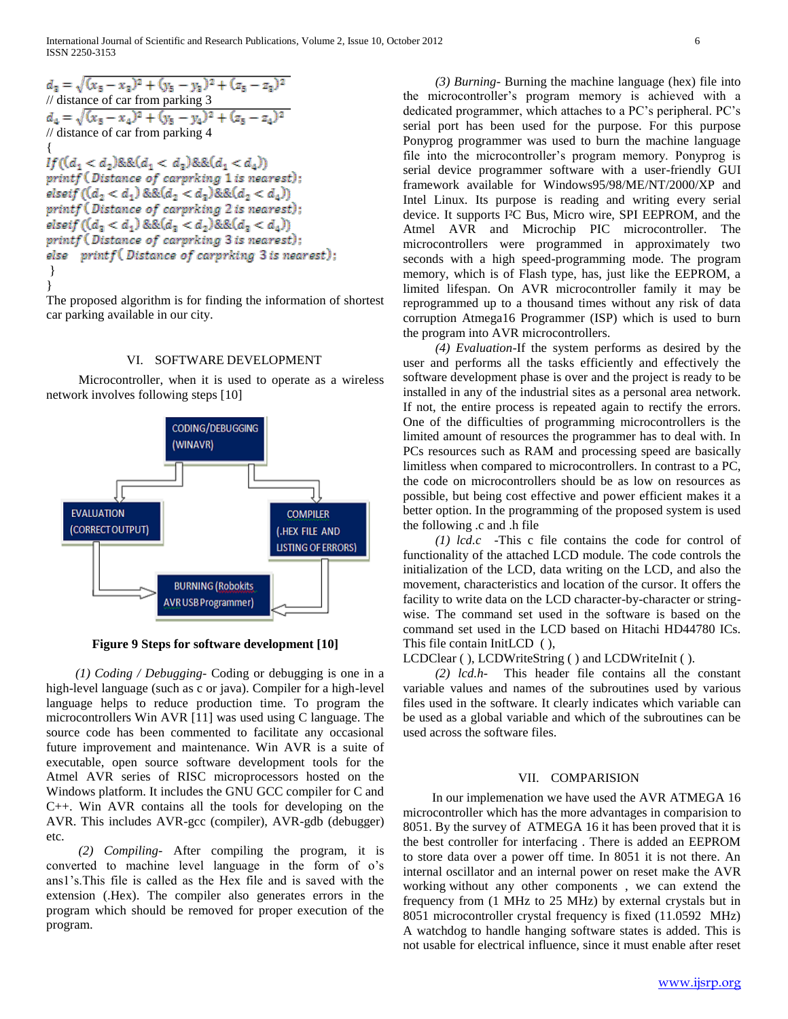International Journal of Scientific and Research Publications, Volume 2, Issue 10, October 2012 6 ISSN 2250-3153

$$
d_3 = \sqrt{(x_5 - x_3)^2 + (y_5 - y_3)^2 + (z_5 - z_3)^2}
$$
  
\n// distance of car from parking 3  
\n
$$
d_4 = \sqrt{(x_5 - x_4)^2 + (y_5 - y_4)^2 + (z_5 - z_4)^2}
$$
  
\n// distance of car from parking 4  
\n{  
\nIf 
$$
(d_1 < d_2) \& \& (d_1 < d_2) \& \& (d_1 < d_4)
$$
  
\nprintf (Distance of carrying 1 is nearest);  
\nelseif 
$$
(d_2 < d_1) \& \& (d_2 < d_2) \& \& (d_2 < d_4)
$$
  
\nprintf (Distance of carrying 2 is nearest);  
\nelseif 
$$
(d_3 < d_1) \& \& (d_3 < d_2) \& \& (d_3 < d_4)
$$
  
\nprintf (Distance of carrying 3 is nearest);  
\nelse printf (Distance of carrying 3 is nearest);

The proposed algorithm is for finding the information of shortest car parking available in our city.

## VI. SOFTWARE DEVELOPMENT

 Microcontroller, when it is used to operate as a wireless network involves following steps [10]



**Figure 9 Steps for software development [10]**

 *(1) Coding / Debugging-* Coding or debugging is one in a high-level language (such as c or java). Compiler for a high-level language helps to reduce production time. To program the microcontrollers Win AVR [11] was used using C language. The source code has been commented to facilitate any occasional future improvement and maintenance. Win AVR is a suite of executable, open source software development tools for the Atmel AVR series of RISC microprocessors hosted on the Windows platform. It includes the GNU GCC compiler for C and C++. Win AVR contains all the tools for developing on the AVR. This includes AVR-gcc (compiler), AVR-gdb (debugger) etc.

 *(2) Compiling-* After compiling the program, it is converted to machine level language in the form of o's ans1's.This file is called as the Hex file and is saved with the extension (.Hex). The compiler also generates errors in the program which should be removed for proper execution of the program.

 *(3) Burning*- Burning the machine language (hex) file into the microcontroller's program memory is achieved with a dedicated programmer, which attaches to a PC's peripheral. PC's serial port has been used for the purpose. For this purpose Ponyprog programmer was used to burn the machine language file into the microcontroller's program memory. Ponyprog is serial device programmer software with a user-friendly GUI framework available for Windows95/98/ME/NT/2000/XP and Intel Linux. Its purpose is reading and writing every serial device. It supports I²C Bus, Micro wire, SPI EEPROM, and the Atmel AVR and Microchip PIC microcontroller. The microcontrollers were programmed in approximately two seconds with a high speed-programming mode. The program memory, which is of Flash type, has, just like the EEPROM, a limited lifespan. On AVR microcontroller family it may be reprogrammed up to a thousand times without any risk of data corruption Atmega16 Programmer (ISP) which is used to burn the program into AVR microcontrollers.

 *(4) Evaluation*-If the system performs as desired by the user and performs all the tasks efficiently and effectively the software development phase is over and the project is ready to be installed in any of the industrial sites as a personal area network. If not, the entire process is repeated again to rectify the errors. One of the difficulties of programming microcontrollers is the limited amount of resources the programmer has to deal with. In PCs resources such as RAM and processing speed are basically limitless when compared to microcontrollers. In contrast to a PC, the code on microcontrollers should be as low on resources as possible, but being cost effective and power efficient makes it a better option. In the programming of the proposed system is used the following .c and .h file

 *(1) lcd.c* -This c file contains the code for control of functionality of the attached LCD module. The code controls the initialization of the LCD, data writing on the LCD, and also the movement, characteristics and location of the cursor. It offers the facility to write data on the LCD character-by-character or stringwise. The command set used in the software is based on the command set used in the LCD based on Hitachi HD44780 ICs. This file contain InitLCD ( ),

LCDClear ( ), LCDWriteString ( ) and LCDWriteInit ( ).

 *(2) lcd.h-* This header file contains all the constant variable values and names of the subroutines used by various files used in the software. It clearly indicates which variable can be used as a global variable and which of the subroutines can be used across the software files.

#### VII. COMPARISION

In our implemenation we have used the AVR ATMEGA 16 microcontroller which has the more advantages in comparision to 8051. By the survey of ATMEGA 16 it has been proved that it is the best controller for interfacing . There is added an EEPROM to store data over a power off time. In 8051 it is not there. An internal oscillator and an internal power on reset make the AVR working without any other components , we can extend the frequency from (1 MHz to 25 MHz) by external crystals but in 8051 microcontroller crystal frequency is fixed (11.0592 MHz) A watchdog to handle hanging software states is added. This is not usable for electrical influence, since it must enable after reset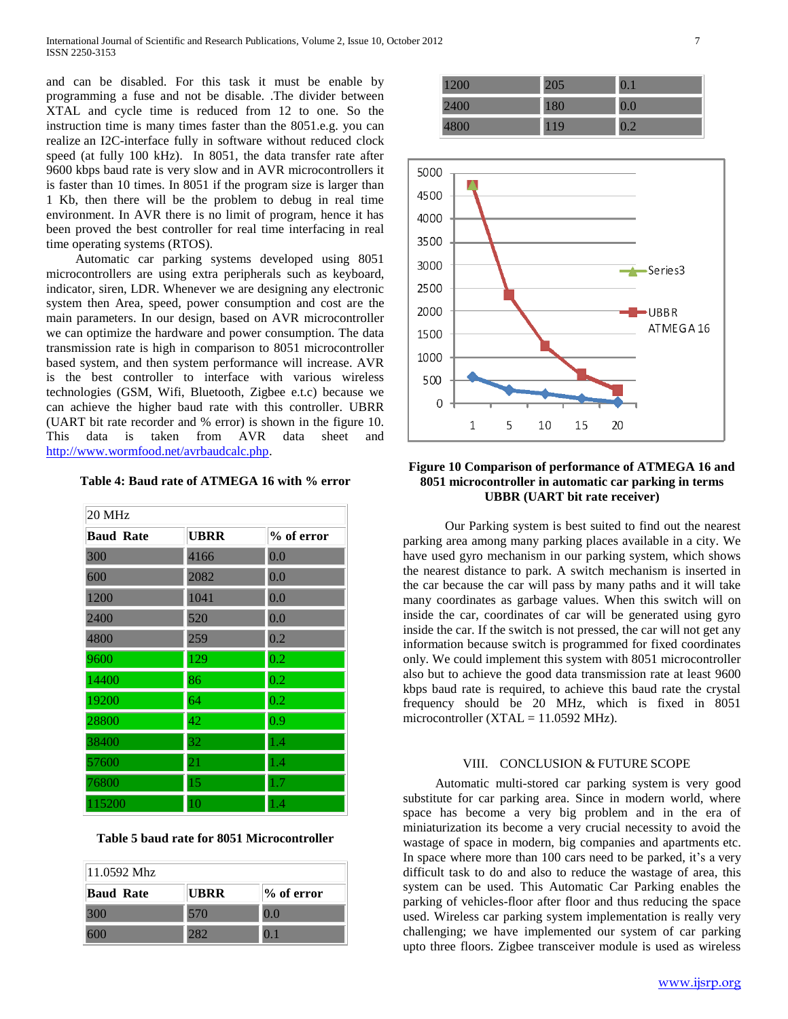and can be disabled. For this task it must be enable by programming a fuse and not be disable. .The divider between XTAL and cycle time is reduced from 12 to one. So the instruction time is many times faster than the 8051.e.g. you can realize an I2C-interface fully in software without reduced clock speed (at fully 100 kHz). In 8051, the data transfer rate after 9600 kbps baud rate is very slow and in AVR microcontrollers it is faster than 10 times. In 8051 if the program size is larger than 1 Kb, then there will be the problem to debug in real time environment. In AVR there is no limit of program, hence it has been proved the best controller for real time interfacing in real time operating systems (RTOS).

Automatic car parking systems developed using 8051 microcontrollers are using extra peripherals such as keyboard, indicator, siren, LDR. Whenever we are designing any electronic system then Area, speed, power consumption and cost are the main parameters. In our design, based on AVR microcontroller we can optimize the hardware and power consumption. The data transmission rate is high in comparison to 8051 microcontroller based system, and then system performance will increase. AVR is the best controller to interface with various wireless technologies (GSM, Wifi, Bluetooth, Zigbee e.t.c) because we can achieve the higher baud rate with this controller. UBRR (UART bit rate recorder and % error) is shown in the figure 10. This data is taken from AVR data sheet and [http://www.wormfood.net/avrbaudcalc.php.](http://www.wormfood.net/avrbaudcalc.php)

| Table 4: Baud rate of ATMEGA 16 with % error |  |  |  |  |  |  |  |
|----------------------------------------------|--|--|--|--|--|--|--|
|----------------------------------------------|--|--|--|--|--|--|--|

| 20 MHz           |             |               |  |  |  |
|------------------|-------------|---------------|--|--|--|
| <b>Baud Rate</b> | <b>UBRR</b> | % of error    |  |  |  |
| 300              | 4166        | 0.0           |  |  |  |
| 600              | 2082        | 0.0           |  |  |  |
| 1200             | 1041        | 0.0           |  |  |  |
| 2400             | 520         | 0.0           |  |  |  |
| 4800             | 259         | 0.2           |  |  |  |
| 9600             | 129         | 0.2           |  |  |  |
| 14400            | 86          | 0.2           |  |  |  |
| 19200            | 64          | 0.2           |  |  |  |
| 28800            | 42          | $ 0.9\rangle$ |  |  |  |
| 38400            | 32          | 1.4           |  |  |  |
| 57600            | 21          | 1.4           |  |  |  |
| 76800            | 15          | 1.7           |  |  |  |
| 115200           | 10          | 1.4           |  |  |  |

| Table 5 baud rate for 8051 Microcontroller |
|--------------------------------------------|
|--------------------------------------------|

| $11.0592$ Mhz    |      |               |
|------------------|------|---------------|
| <b>Baud Rate</b> | UBRR | $\%$ of error |
| 300              | 570  | 0.0           |
|                  | 282  | $\mathbf{0}$  |

| 119 |  |
|-----|--|



## **Figure 10 Comparison of performance of ATMEGA 16 and 8051 microcontroller in automatic car parking in terms UBBR (UART bit rate receiver)**

 Our Parking system is best suited to find out the nearest parking area among many parking places available in a city. We have used gyro mechanism in our parking system, which shows the nearest distance to park. A switch mechanism is inserted in the car because the car will pass by many paths and it will take many coordinates as garbage values. When this switch will on inside the car, coordinates of car will be generated using gyro inside the car. If the switch is not pressed, the car will not get any information because switch is programmed for fixed coordinates only. We could implement this system with 8051 microcontroller also but to achieve the good data transmission rate at least 9600 kbps baud rate is required, to achieve this baud rate the crystal frequency should be 20 MHz, which is fixed in 8051 microcontroller ( $XTAL = 11.0592 MHz$ ).

#### VIII. CONCLUSION & FUTURE SCOPE

Automatic multi-stored car parking system is very good substitute for car parking area. Since in modern world, where space has become a very big problem and in the era of miniaturization its become a very crucial necessity to avoid the wastage of space in modern, big companies and apartments etc. In space where more than 100 cars need to be parked, it's a very difficult task to do and also to reduce the wastage of area, this system can be used. This Automatic Car Parking enables the parking of vehicles-floor after floor and thus reducing the space used. Wireless car parking system implementation is really very challenging; we have implemented our system of car parking upto three floors. Zigbee transceiver module is used as wireless